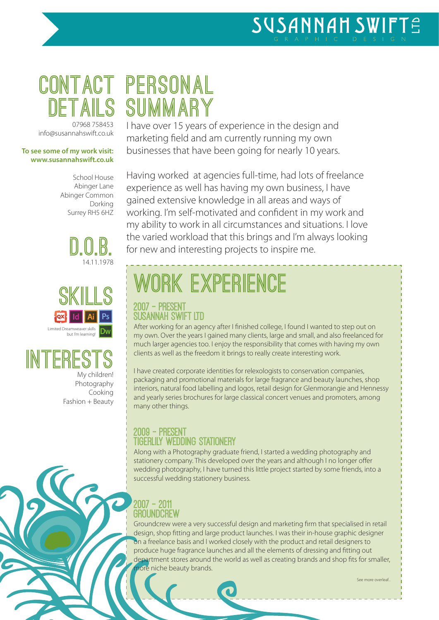# **details**

07968 758453 info@susannahswift.co.uk

#### **To see some of my work visit: www.susannahswift.co.uk**

School House Abinger Lane Abinger Common Dorking Surrey RH5 6HZ







Photography Cooking Fashion + Beauty

### **contact personal summary**

I have over 15 years of experience in the design and marketing field and am currently running my own businesses that have been going for nearly 10 years.

Having worked at agencies full-time, had lots of freelance experience as well has having my own business, I have gained extensive knowledge in all areas and ways of working. I'm self-motivated and confident in my work and my ability to work in all circumstances and situations. I love the varied workload that this brings and I'm always looking for new and interesting projects to inspire me.

# **work experience**

#### 2007 - present Susannah Swift Ltd

After working for an agency after I finished college, I found I wanted to step out on my own. Over the years I gained many clients, large and small, and also freelanced for much larger agencies too. I enjoy the responsibility that comes with having my own clients as well as the freedom it brings to really create interesting work.

I have created corporate identities for relexologists to conservation companies, packaging and promotional materials for large fragrance and beauty launches, shop interiors, natural food labelling and logos, retail design for Glenmorangie and Hennessy and yearly series brochures for large classical concert venues and promoters, among many other things.

#### 2009 - present tigerlily wedding stationery

Along with a Photography graduate friend, I started a wedding photography and stationery company. This developed over the years and although I no longer offer wedding photography, I have turned this little project started by some friends, into a successful wedding stationery business.

#### 2007 - 2011 **GROUNDCREW**

Groundcrew were a very successful design and marketing firm that specialised in retail design, shop fitting and large product launches. I was their in-house graphic designer on a freelance basis and I worked closely with the product and retail designers to produce huge fragrance launches and all the elements of dressing and fitting out department stores around the world as well as creating brands and shop fits for smaller, ore niche beauty brands.

See more overleaf...